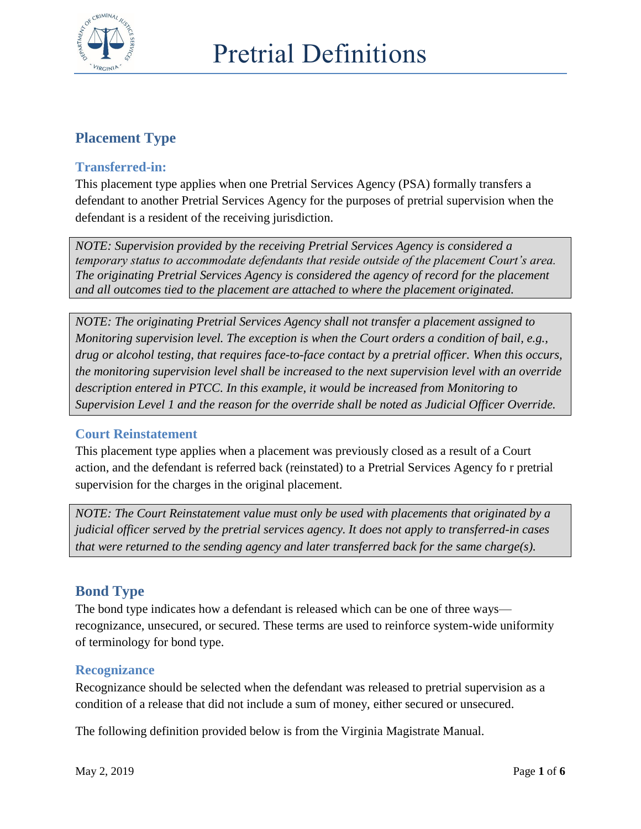

# **Placement Type**

### **Transferred-in:**

This placement type applies when one Pretrial Services Agency (PSA) formally transfers a defendant to another Pretrial Services Agency for the purposes of pretrial supervision when the defendant is a resident of the receiving jurisdiction.

*NOTE: Supervision provided by the receiving Pretrial Services Agency is considered a temporary status to accommodate defendants that reside outside of the placement Court's area. The originating Pretrial Services Agency is considered the agency of record for the placement and all outcomes tied to the placement are attached to where the placement originated.* 

*NOTE: The originating Pretrial Services Agency shall not transfer a placement assigned to Monitoring supervision level. The exception is when the Court orders a condition of bail, e.g., drug or alcohol testing, that requires face-to-face contact by a pretrial officer. When this occurs, the monitoring supervision level shall be increased to the next supervision level with an override description entered in PTCC. In this example, it would be increased from Monitoring to Supervision Level 1 and the reason for the override shall be noted as Judicial Officer Override.*

#### **Court Reinstatement**

This placement type applies when a placement was previously closed as a result of a Court action, and the defendant is referred back (reinstated) to a Pretrial Services Agency fo r pretrial supervision for the charges in the original placement.

*NOTE: The Court Reinstatement value must only be used with placements that originated by a judicial officer served by the pretrial services agency. It does not apply to transferred-in cases that were returned to the sending agency and later transferred back for the same charge(s).* 

## **Bond Type**

The bond type indicates how a defendant is released which can be one of three ways recognizance, unsecured, or secured. These terms are used to reinforce system-wide uniformity of terminology for bond type.

## **Recognizance**

Recognizance should be selected when the defendant was released to pretrial supervision as a condition of a release that did not include a sum of money, either secured or unsecured.

The following definition provided below is from the Virginia Magistrate Manual.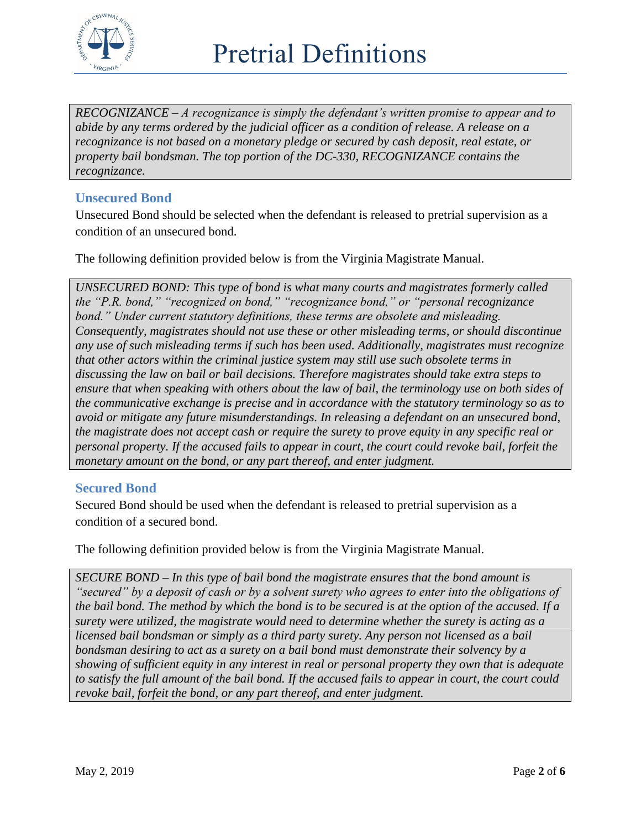

*RECOGNIZANCE – A recognizance is simply the defendant's written promise to appear and to abide by any terms ordered by the judicial officer as a condition of release. A release on a recognizance is not based on a monetary pledge or secured by cash deposit, real estate, or property bail bondsman. The top portion of the DC-330, RECOGNIZANCE contains the recognizance.*

### **Unsecured Bond**

Unsecured Bond should be selected when the defendant is released to pretrial supervision as a condition of an unsecured bond.

The following definition provided below is from the Virginia Magistrate Manual.

*UNSECURED BOND: This type of bond is what many courts and magistrates formerly called the "P.R. bond," "recognized on bond," "recognizance bond," or "personal recognizance bond." Under current statutory definitions, these terms are obsolete and misleading. Consequently, magistrates should not use these or other misleading terms, or should discontinue any use of such misleading terms if such has been used. Additionally, magistrates must recognize that other actors within the criminal justice system may still use such obsolete terms in discussing the law on bail or bail decisions. Therefore magistrates should take extra steps to ensure that when speaking with others about the law of bail, the terminology use on both sides of the communicative exchange is precise and in accordance with the statutory terminology so as to avoid or mitigate any future misunderstandings. In releasing a defendant on an unsecured bond, the magistrate does not accept cash or require the surety to prove equity in any specific real or personal property. If the accused fails to appear in court, the court could revoke bail, forfeit the monetary amount on the bond, or any part thereof, and enter judgment.*

## **Secured Bond**

Secured Bond should be used when the defendant is released to pretrial supervision as a condition of a secured bond.

The following definition provided below is from the Virginia Magistrate Manual.

*SECURE BOND – In this type of bail bond the magistrate ensures that the bond amount is "secured" by a deposit of cash or by a solvent surety who agrees to enter into the obligations of the bail bond. The method by which the bond is to be secured is at the option of the accused. If a surety were utilized, the magistrate would need to determine whether the surety is acting as a licensed bail bondsman or simply as a third party surety. Any person not licensed as a bail bondsman desiring to act as a surety on a bail bond must demonstrate their solvency by a showing of sufficient equity in any interest in real or personal property they own that is adequate to satisfy the full amount of the bail bond. If the accused fails to appear in court, the court could revoke bail, forfeit the bond, or any part thereof, and enter judgment.*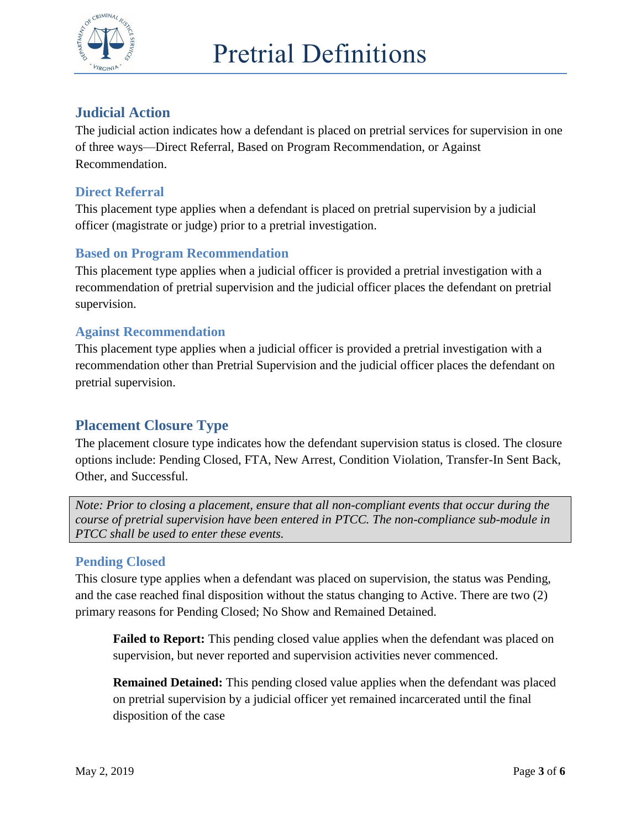

# **Judicial Action**

The judicial action indicates how a defendant is placed on pretrial services for supervision in one of three ways—Direct Referral, Based on Program Recommendation, or Against Recommendation.

#### **Direct Referral**

This placement type applies when a defendant is placed on pretrial supervision by a judicial officer (magistrate or judge) prior to a pretrial investigation.

## **Based on Program Recommendation**

This placement type applies when a judicial officer is provided a pretrial investigation with a recommendation of pretrial supervision and the judicial officer places the defendant on pretrial supervision.

#### **Against Recommendation**

This placement type applies when a judicial officer is provided a pretrial investigation with a recommendation other than Pretrial Supervision and the judicial officer places the defendant on pretrial supervision.

## **Placement Closure Type**

The placement closure type indicates how the defendant supervision status is closed. The closure options include: Pending Closed, FTA, New Arrest, Condition Violation, Transfer-In Sent Back, Other, and Successful.

*Note: Prior to closing a placement, ensure that all non-compliant events that occur during the course of pretrial supervision have been entered in PTCC. The non-compliance sub-module in PTCC shall be used to enter these events.*

#### **Pending Closed**

This closure type applies when a defendant was placed on supervision, the status was Pending, and the case reached final disposition without the status changing to Active. There are two (2) primary reasons for Pending Closed; No Show and Remained Detained.

**Failed to Report:** This pending closed value applies when the defendant was placed on supervision, but never reported and supervision activities never commenced.

**Remained Detained:** This pending closed value applies when the defendant was placed on pretrial supervision by a judicial officer yet remained incarcerated until the final disposition of the case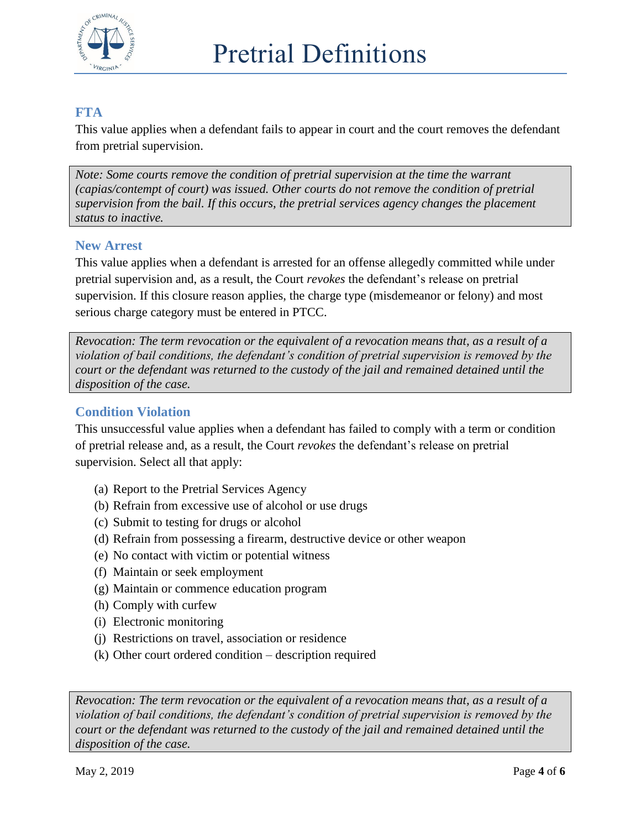

## **FTA**

This value applies when a defendant fails to appear in court and the court removes the defendant from pretrial supervision.

*Note: Some courts remove the condition of pretrial supervision at the time the warrant (capias/contempt of court) was issued. Other courts do not remove the condition of pretrial supervision from the bail. If this occurs, the pretrial services agency changes the placement status to inactive.*

#### **New Arrest**

This value applies when a defendant is arrested for an offense allegedly committed while under pretrial supervision and, as a result, the Court *revokes* the defendant's release on pretrial supervision. If this closure reason applies, the charge type (misdemeanor or felony) and most serious charge category must be entered in PTCC.

*Revocation: The term revocation or the equivalent of a revocation means that, as a result of a violation of bail conditions, the defendant's condition of pretrial supervision is removed by the court or the defendant was returned to the custody of the jail and remained detained until the disposition of the case.*

## **Condition Violation**

This unsuccessful value applies when a defendant has failed to comply with a term or condition of pretrial release and, as a result, the Court *revokes* the defendant's release on pretrial supervision. Select all that apply:

- (a) Report to the Pretrial Services Agency
- (b) Refrain from excessive use of alcohol or use drugs
- (c) Submit to testing for drugs or alcohol
- (d) Refrain from possessing a firearm, destructive device or other weapon
- (e) No contact with victim or potential witness
- (f) Maintain or seek employment
- (g) Maintain or commence education program
- (h) Comply with curfew
- (i) Electronic monitoring
- (j) Restrictions on travel, association or residence
- (k) Other court ordered condition description required

*Revocation: The term revocation or the equivalent of a revocation means that, as a result of a violation of bail conditions, the defendant's condition of pretrial supervision is removed by the court or the defendant was returned to the custody of the jail and remained detained until the disposition of the case.*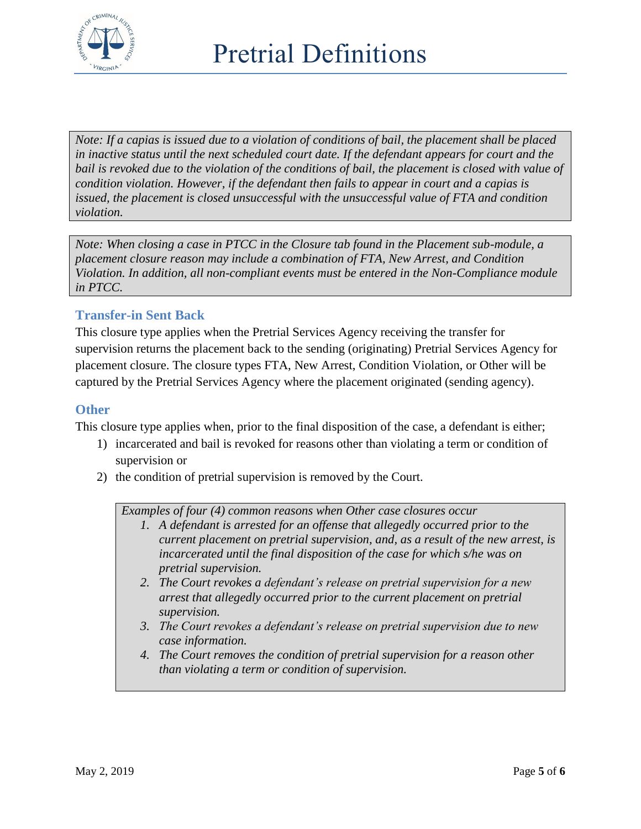

*Note: If a capias is issued due to a violation of conditions of bail, the placement shall be placed in inactive status until the next scheduled court date. If the defendant appears for court and the bail is revoked due to the violation of the conditions of bail, the placement is closed with value of condition violation. However, if the defendant then fails to appear in court and a capias is issued, the placement is closed unsuccessful with the unsuccessful value of FTA and condition violation.* 

*Note: When closing a case in PTCC in the Closure tab found in the Placement sub-module, a placement closure reason may include a combination of FTA, New Arrest, and Condition Violation. In addition, all non-compliant events must be entered in the Non-Compliance module in PTCC.* 

## **Transfer-in Sent Back**

This closure type applies when the Pretrial Services Agency receiving the transfer for supervision returns the placement back to the sending (originating) Pretrial Services Agency for placement closure. The closure types FTA, New Arrest, Condition Violation, or Other will be captured by the Pretrial Services Agency where the placement originated (sending agency).

#### **Other**

This closure type applies when, prior to the final disposition of the case, a defendant is either;

- 1) incarcerated and bail is revoked for reasons other than violating a term or condition of supervision or
- 2) the condition of pretrial supervision is removed by the Court.

*Examples of four (4) common reasons when Other case closures occur*

- *1. A defendant is arrested for an offense that allegedly occurred prior to the current placement on pretrial supervision, and, as a result of the new arrest, is incarcerated until the final disposition of the case for which s/he was on pretrial supervision.*
- *2. The Court revokes a defendant's release on pretrial supervision for a new arrest that allegedly occurred prior to the current placement on pretrial supervision.*
- *3. The Court revokes a defendant's release on pretrial supervision due to new case information.*
- *4. The Court removes the condition of pretrial supervision for a reason other than violating a term or condition of supervision.*